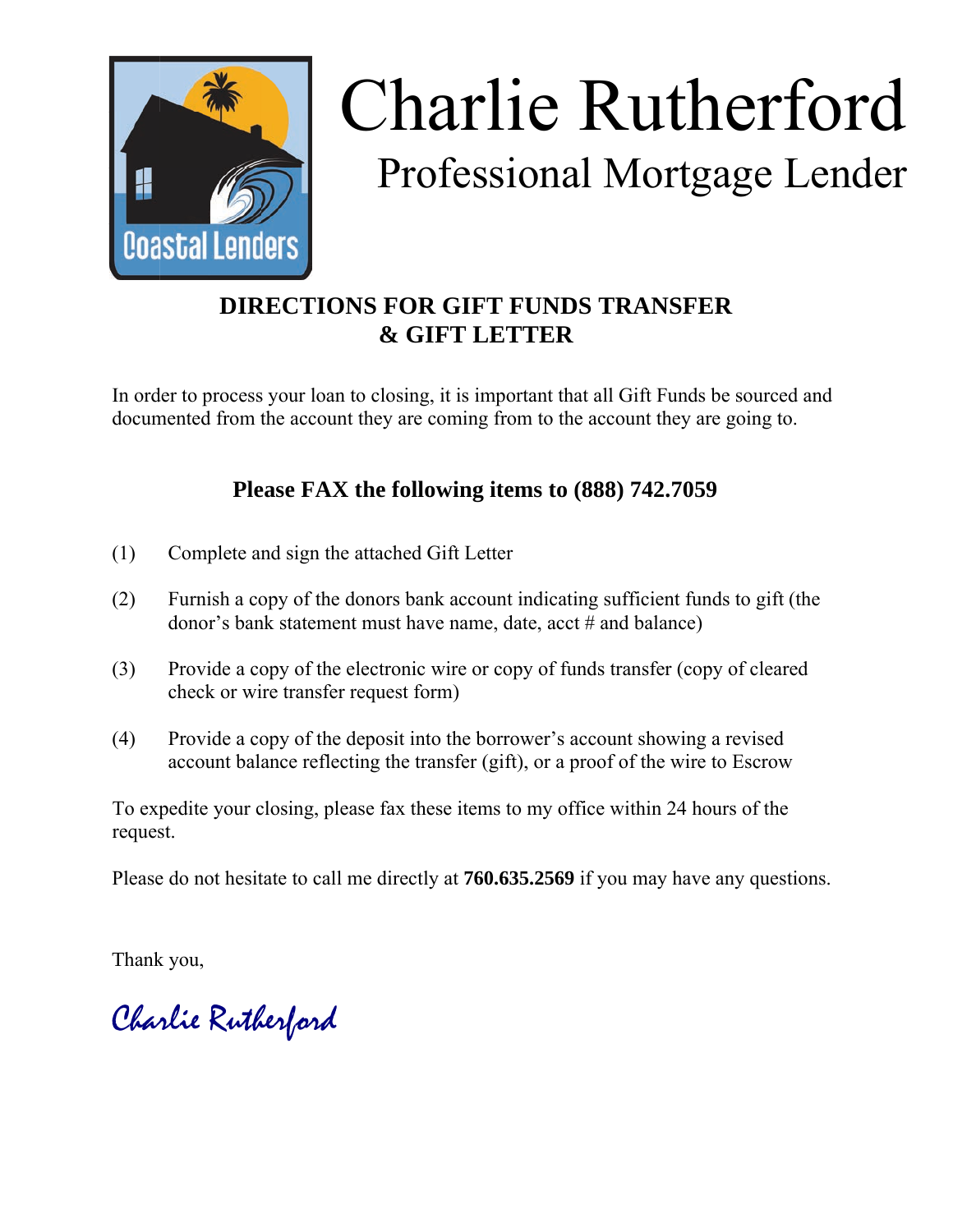

## Charlie Rutherford Professional Mortgage Lender

## **DIRECTIONS FOR GIFT FUNDS TRANSFER & GIFT LETTER**

In order to process your loan to closing, it is important that all Gift Funds be sourced and documented from the account they are coming from to the account they are going to.

## **Please FAX the following items to (888) 742.7059**

- (1) Complete and sign the attached Gift Letter
- (2) Furnish a copy of the donors bank account indicating sufficient funds to gift (the donor's bank statement must have name, date, acct # and balance)
- (3) Provide a copy of the electronic wire or copy of funds transfer (copy of cleared check or wire transfer request form)
- (4) Provide a copy of the deposit into the borrower's account showing a revised account balance reflecting the transfer (gift), or a proof of the wire to Escrow

To expedite your closing, please fax these items to my office within 24 hours of the request.

Please do not hesitate to call me directly at **760.635.2569** if you may have any questions.

Thank you,

Charlie Rutherford